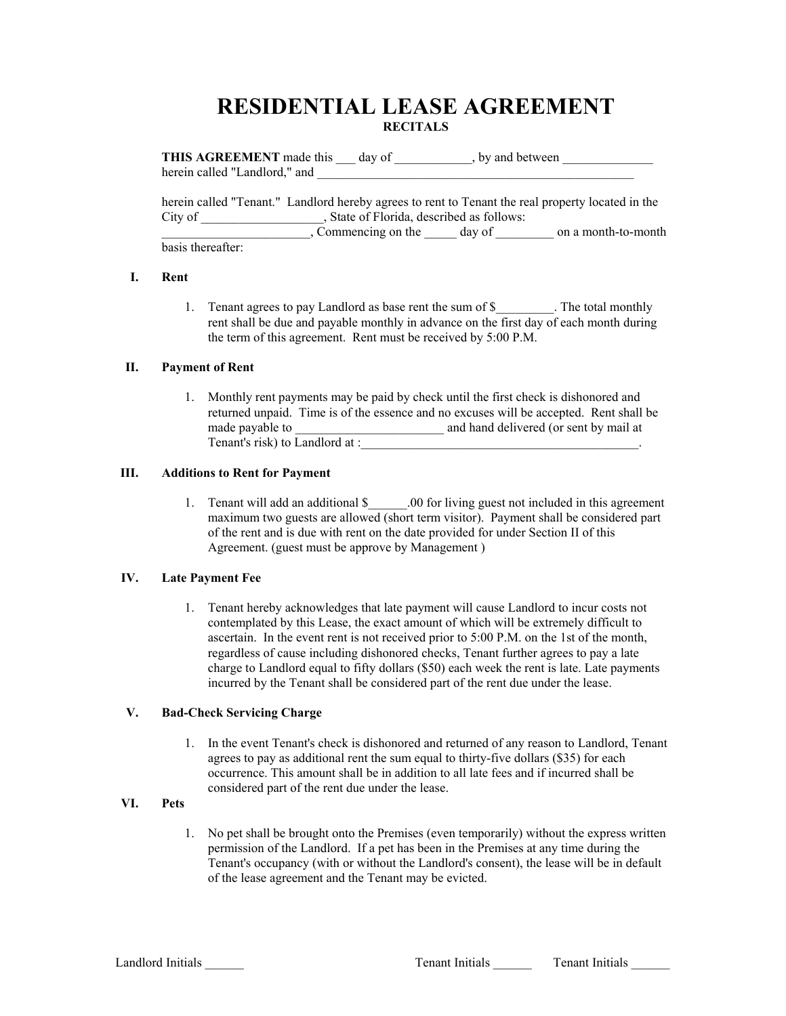# **RESIDENTIAL LEASE AGREEMENT RECITALS**

**THIS AGREEMENT** made this day of , by and between herein called "Landlord," and

herein called "Tenant." Landlord hereby agrees to rent to Tenant the real property located in the City of \_\_\_\_\_\_\_\_\_\_\_\_\_\_\_\_\_, State of Florida, described as follows:

Commencing on the day of discussion a month-to-month basis thereafter:

### **I. Rent**

1. Tenant agrees to pay Landlord as base rent the sum of \$ The total monthly rent shall be due and payable monthly in advance on the first day of each month during the term of this agreement. Rent must be received by 5:00 P.M.

# **II. Payment of Rent**

1. Monthly rent payments may be paid by check until the first check is dishonored and returned unpaid. Time is of the essence and no excuses will be accepted. Rent shall be made payable to **a** and hand delivered (or sent by mail at Tenant's risk) to Landlord at :

### **III. Additions to Rent for Payment**

1. Tenant will add an additional \$\_\_\_\_\_\_.00 for living guest not included in this agreement maximum two guests are allowed (short term visitor). Payment shall be considered part of the rent and is due with rent on the date provided for under Section II of this Agreement. (guest must be approve by Management )

# **IV. Late Payment Fee**

1. Tenant hereby acknowledges that late payment will cause Landlord to incur costs not contemplated by this Lease, the exact amount of which will be extremely difficult to ascertain. In the event rent is not received prior to 5:00 P.M. on the 1st of the month, regardless of cause including dishonored checks, Tenant further agrees to pay a late charge to Landlord equal to fifty dollars (\$50) each week the rent is late. Late payments incurred by the Tenant shall be considered part of the rent due under the lease.

# **V. Bad-Check Servicing Charge**

1. In the event Tenant's check is dishonored and returned of any reason to Landlord, Tenant agrees to pay as additional rent the sum equal to thirty-five dollars (\$35) for each occurrence. This amount shall be in addition to all late fees and if incurred shall be considered part of the rent due under the lease.

# **VI. Pets**

1. No pet shall be brought onto the Premises (even temporarily) without the express written permission of the Landlord. If a pet has been in the Premises at any time during the Tenant's occupancy (with or without the Landlord's consent), the lease will be in default of the lease agreement and the Tenant may be evicted.

Landlord Initials **Tenant Initials Tenant Initials Tenant Initials Tenant Initials**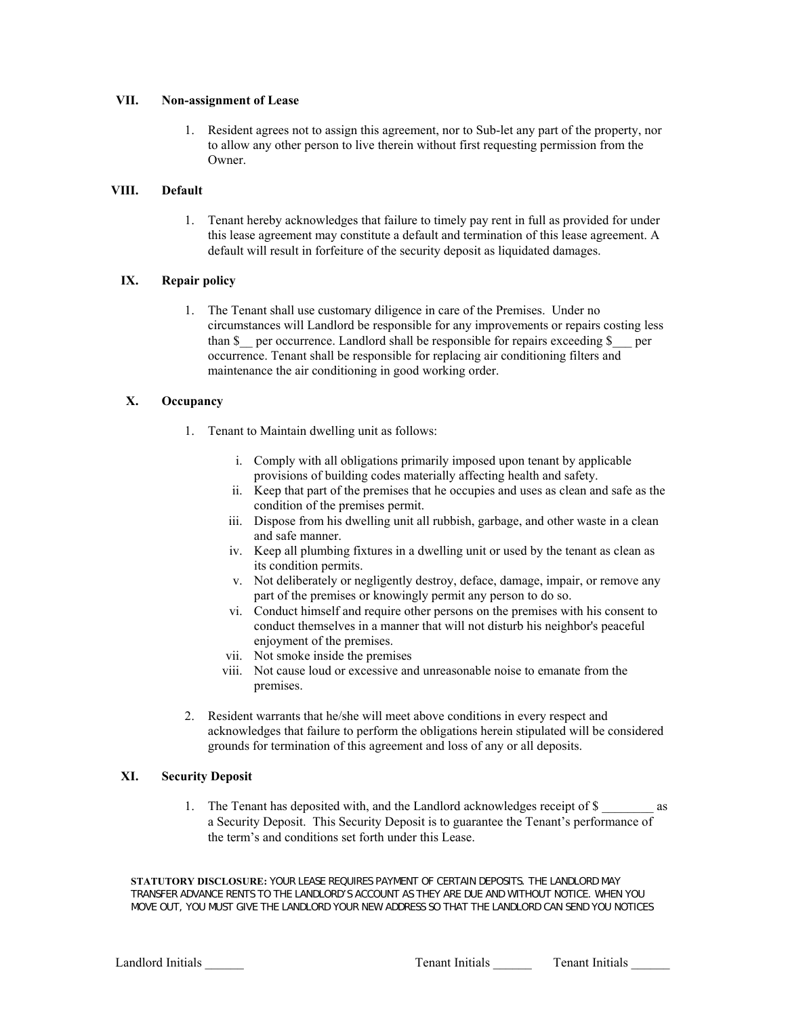#### **VII. Non-assignment of Lease**

1. Resident agrees not to assign this agreement, nor to Sub-let any part of the property, nor to allow any other person to live therein without first requesting permission from the Owner.

# **VIII. Default**

1. Tenant hereby acknowledges that failure to timely pay rent in full as provided for under this lease agreement may constitute a default and termination of this lease agreement. A default will result in forfeiture of the security deposit as liquidated damages.

# **IX. Repair policy**

1. The Tenant shall use customary diligence in care of the Premises. Under no circumstances will Landlord be responsible for any improvements or repairs costing less than \$ per occurrence. Landlord shall be responsible for repairs exceeding \$ per occurrence. Tenant shall be responsible for replacing air conditioning filters and maintenance the air conditioning in good working order.

# **X. Occupancy**

- 1. Tenant to Maintain dwelling unit as follows:
	- i. Comply with all obligations primarily imposed upon tenant by applicable provisions of building codes materially affecting health and safety.
	- ii. Keep that part of the premises that he occupies and uses as clean and safe as the condition of the premises permit.
	- iii. Dispose from his dwelling unit all rubbish, garbage, and other waste in a clean and safe manner.
	- iv. Keep all plumbing fixtures in a dwelling unit or used by the tenant as clean as its condition permits.
	- v. Not deliberately or negligently destroy, deface, damage, impair, or remove any part of the premises or knowingly permit any person to do so.
	- vi. Conduct himself and require other persons on the premises with his consent to conduct themselves in a manner that will not disturb his neighbor's peaceful enjoyment of the premises.
	- vii. Not smoke inside the premises
	- viii. Not cause loud or excessive and unreasonable noise to emanate from the premises.
- 2. Resident warrants that he/she will meet above conditions in every respect and acknowledges that failure to perform the obligations herein stipulated will be considered grounds for termination of this agreement and loss of any or all deposits.

# **XI. Security Deposit**

1. The Tenant has deposited with, and the Landlord acknowledges receipt of \$ \_\_\_\_\_\_\_\_ as a Security Deposit. This Security Deposit is to guarantee the Tenant's performance of the term's and conditions set forth under this Lease.

**STATUTORY DISCLOSURE:** YOUR LEASE REQUIRES PAYMENT OF CERTAIN DEPOSITS. THE LANDLORD MAY TRANSFER ADVANCE RENTS TO THE LANDLORD'S ACCOUNT AS THEY ARE DUE AND WITHOUT NOTICE. WHEN YOU MOVE OUT, YOU MUST GIVE THE LANDLORD YOUR NEW ADDRESS SO THAT THE LANDLORD CAN SEND YOU NOTICES

Landlord Initials **Tenant Initials** Tenant Initials Tenant Initials Tenant Initials Tenant Initials Tenant Initials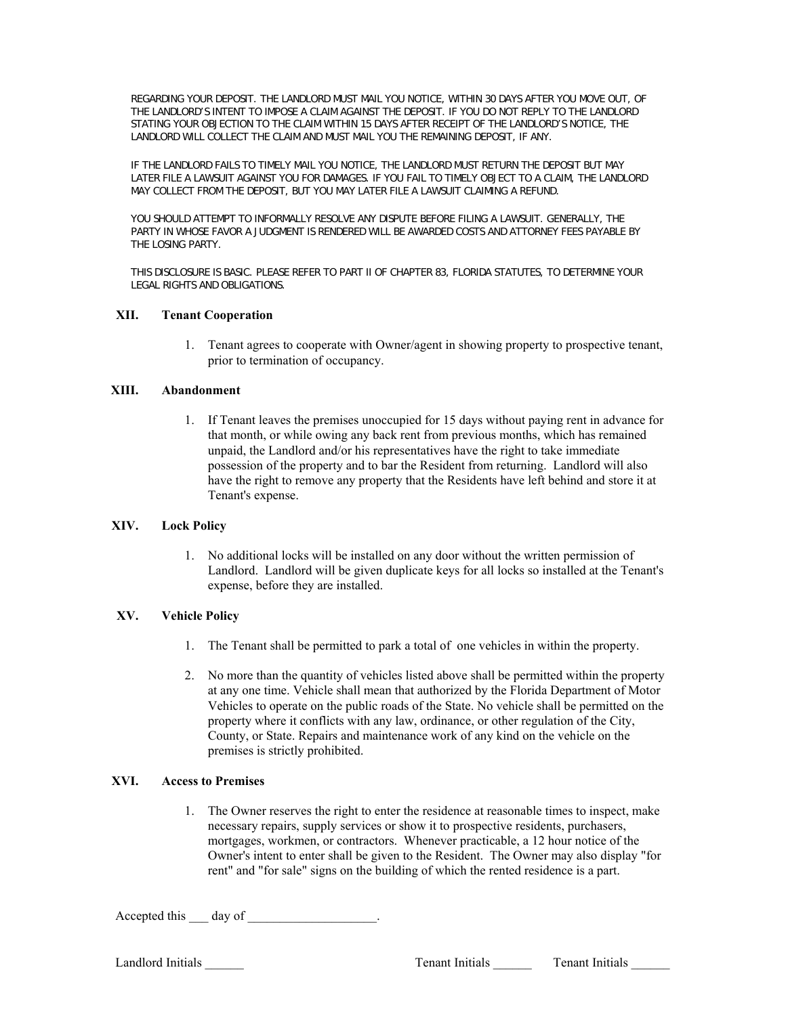REGARDING YOUR DEPOSIT. THE LANDLORD MUST MAIL YOU NOTICE, WITHIN 30 DAYS AFTER YOU MOVE OUT, OF THE LANDLORD'S INTENT TO IMPOSE A CLAIM AGAINST THE DEPOSIT. IF YOU DO NOT REPLY TO THE LANDLORD STATING YOUR OBJECTION TO THE CLAIM WITHIN 15 DAYS AFTER RECEIPT OF THE LANDLORD'S NOTICE, THE LANDLORD WILL COLLECT THE CLAIM AND MUST MAIL YOU THE REMAINING DEPOSIT, IF ANY.

IF THE LANDLORD FAILS TO TIMELY MAIL YOU NOTICE, THE LANDLORD MUST RETURN THE DEPOSIT BUT MAY LATER FILE A LAWSUIT AGAINST YOU FOR DAMAGES. IF YOU FAIL TO TIMELY OBJECT TO A CLAIM, THE LANDLORD MAY COLLECT FROM THE DEPOSIT, BUT YOU MAY LATER FILE A LAWSUIT CLAIMING A REFUND.

YOU SHOULD ATTEMPT TO INFORMALLY RESOLVE ANY DISPUTE BEFORE FILING A LAWSUIT. GENERALLY, THE PARTY IN WHOSE FAVOR A JUDGMENT IS RENDERED WILL BE AWARDED COSTS AND ATTORNEY FEES PAYABLE BY THE LOSING PARTY.

THIS DISCLOSURE IS BASIC. PLEASE REFER TO PART II OF CHAPTER 83, FLORIDA STATUTES, TO DETERMINE YOUR LEGAL RIGHTS AND OBLIGATIONS.

#### **XII. Tenant Cooperation**

1. Tenant agrees to cooperate with Owner/agent in showing property to prospective tenant, prior to termination of occupancy.

#### **XIII. Abandonment**

1. If Tenant leaves the premises unoccupied for 15 days without paying rent in advance for that month, or while owing any back rent from previous months, which has remained unpaid, the Landlord and/or his representatives have the right to take immediate possession of the property and to bar the Resident from returning. Landlord will also have the right to remove any property that the Residents have left behind and store it at Tenant's expense.

# **XIV. Lock Policy**

1. No additional locks will be installed on any door without the written permission of Landlord. Landlord will be given duplicate keys for all locks so installed at the Tenant's expense, before they are installed.

# **XV. Vehicle Policy**

- 1. The Tenant shall be permitted to park a total of one vehicles in within the property.
- 2. No more than the quantity of vehicles listed above shall be permitted within the property at any one time. Vehicle shall mean that authorized by the Florida Department of Motor Vehicles to operate on the public roads of the State. No vehicle shall be permitted on the property where it conflicts with any law, ordinance, or other regulation of the City, County, or State. Repairs and maintenance work of any kind on the vehicle on the premises is strictly prohibited.

# **XVI. Access to Premises**

1. The Owner reserves the right to enter the residence at reasonable times to inspect, make necessary repairs, supply services or show it to prospective residents, purchasers, mortgages, workmen, or contractors. Whenever practicable, a 12 hour notice of the Owner's intent to enter shall be given to the Resident. The Owner may also display "for rent" and "for sale" signs on the building of which the rented residence is a part.

Accepted this day of .

Landlord Initials \_\_\_\_\_\_\_ Tenant Initials \_\_\_\_\_\_ Tenant Initials \_\_\_\_\_\_ Tenant Initials \_\_\_\_\_